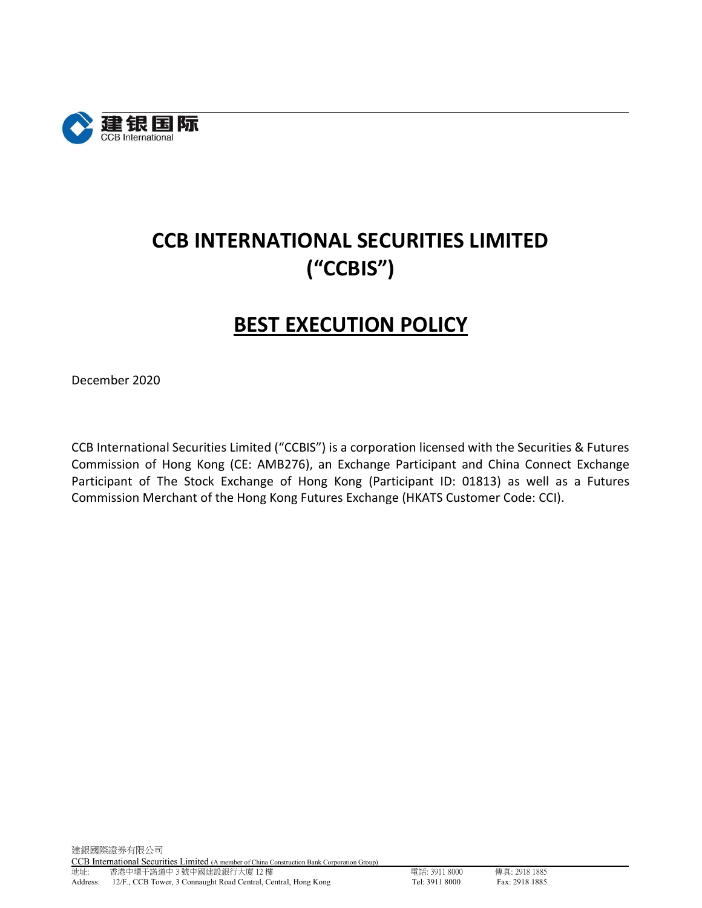

# CCB INTERNATIONAL SECURITIES LIMITED ("CCBIS")

## BEST EXECUTION POLICY

December 2020

CCB International Securities Limited ("CCBIS") is a corporation licensed with the Securities & Futures Commission of Hong Kong (CE: AMB276), an Exchange Participant and China Connect Exchange Participant of The Stock Exchange of Hong Kong (Participant ID: 01813) as well as a Futures Commission Merchant of the Hong Kong Futures Exchange (HKATS Customer Code: CCI).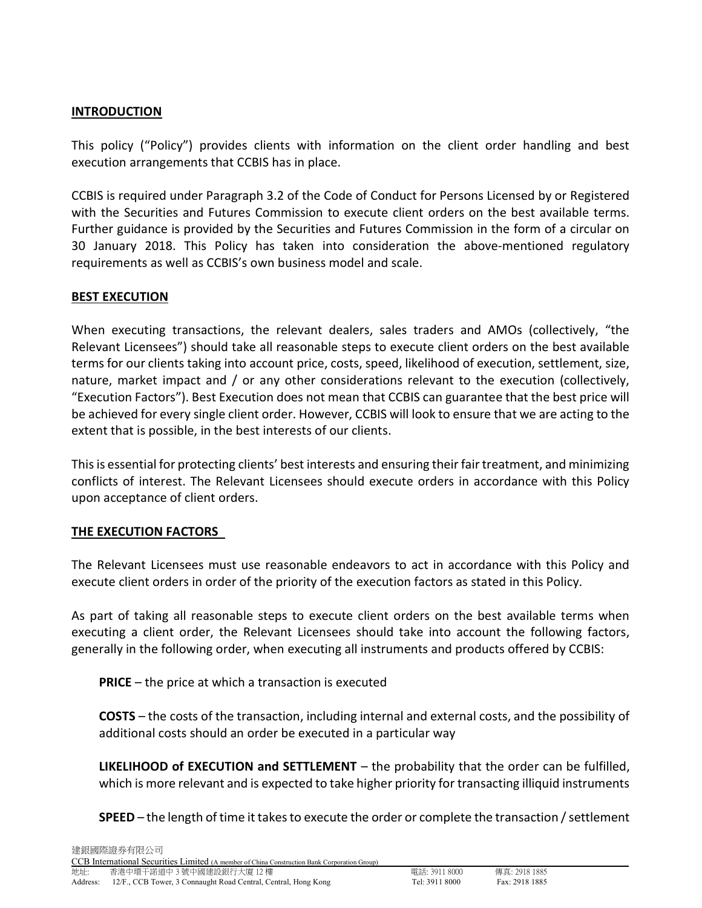#### **INTRODUCTION**

This policy ("Policy") provides clients with information on the client order handling and best execution arrangements that CCBIS has in place.

CCBIS is required under Paragraph 3.2 of the Code of Conduct for Persons Licensed by or Registered with the Securities and Futures Commission to execute client orders on the best available terms. Further guidance is provided by the Securities and Futures Commission in the form of a circular on 30 January 2018. This Policy has taken into consideration the above-mentioned regulatory requirements as well as CCBIS's own business model and scale.

#### BEST EXECUTION

When executing transactions, the relevant dealers, sales traders and AMOs (collectively, "the Relevant Licensees") should take all reasonable steps to execute client orders on the best available terms for our clients taking into account price, costs, speed, likelihood of execution, settlement, size, nature, market impact and / or any other considerations relevant to the execution (collectively, "Execution Factors"). Best Execution does not mean that CCBIS can guarantee that the best price will be achieved for every single client order. However, CCBIS will look to ensure that we are acting to the extent that is possible, in the best interests of our clients.

This is essential for protecting clients' best interests and ensuring their fair treatment, and minimizing conflicts of interest. The Relevant Licensees should execute orders in accordance with this Policy upon acceptance of client orders.

#### THE EXECUTION FACTORS

The Relevant Licensees must use reasonable endeavors to act in accordance with this Policy and execute client orders in order of the priority of the execution factors as stated in this Policy.

As part of taking all reasonable steps to execute client orders on the best available terms when executing a client order, the Relevant Licensees should take into account the following factors, generally in the following order, when executing all instruments and products offered by CCBIS:

PRICE – the price at which a transaction is executed

COSTS – the costs of the transaction, including internal and external costs, and the possibility of additional costs should an order be executed in a particular way

**LIKELIHOOD of EXECUTION and SETTLEMENT** – the probability that the order can be fulfilled, which is more relevant and is expected to take higher priority for transacting illiquid instruments

SPEED – the length of time it takes to execute the order or complete the transaction / settlement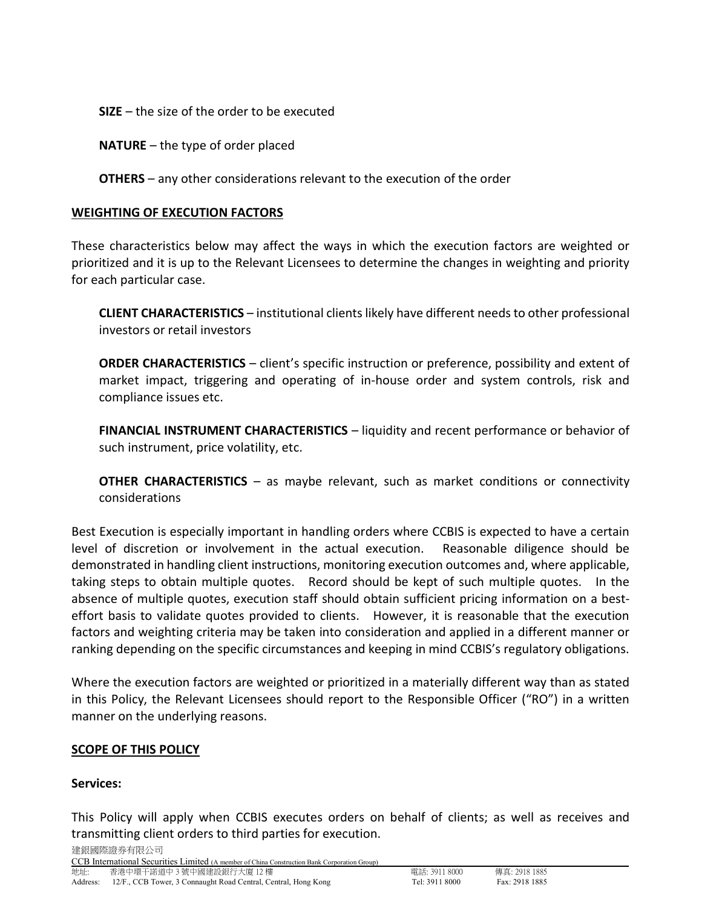SIZE – the size of the order to be executed

NATURE – the type of order placed

OTHERS – any other considerations relevant to the execution of the order

## WEIGHTING OF EXECUTION FACTORS

These characteristics below may affect the ways in which the execution factors are weighted or prioritized and it is up to the Relevant Licensees to determine the changes in weighting and priority for each particular case.

CLIENT CHARACTERISTICS – institutional clients likely have different needs to other professional investors or retail investors

ORDER CHARACTERISTICS – client's specific instruction or preference, possibility and extent of market impact, triggering and operating of in-house order and system controls, risk and compliance issues etc.

FINANCIAL INSTRUMENT CHARACTERISTICS – liquidity and recent performance or behavior of such instrument, price volatility, etc.

OTHER CHARACTERISTICS – as maybe relevant, such as market conditions or connectivity considerations

Best Execution is especially important in handling orders where CCBIS is expected to have a certain level of discretion or involvement in the actual execution. Reasonable diligence should be demonstrated in handling client instructions, monitoring execution outcomes and, where applicable, taking steps to obtain multiple quotes. Record should be kept of such multiple quotes. In the absence of multiple quotes, execution staff should obtain sufficient pricing information on a besteffort basis to validate quotes provided to clients. However, it is reasonable that the execution factors and weighting criteria may be taken into consideration and applied in a different manner or ranking depending on the specific circumstances and keeping in mind CCBIS's regulatory obligations.

Where the execution factors are weighted or prioritized in a materially different way than as stated in this Policy, the Relevant Licensees should report to the Responsible Officer ("RO") in a written manner on the underlying reasons.

## SCOPE OF THIS POLICY

#### Services:

This Policy will apply when CCBIS executes orders on behalf of clients; as well as receives and transmitting client orders to third parties for execution.

建銀國際證券有限公司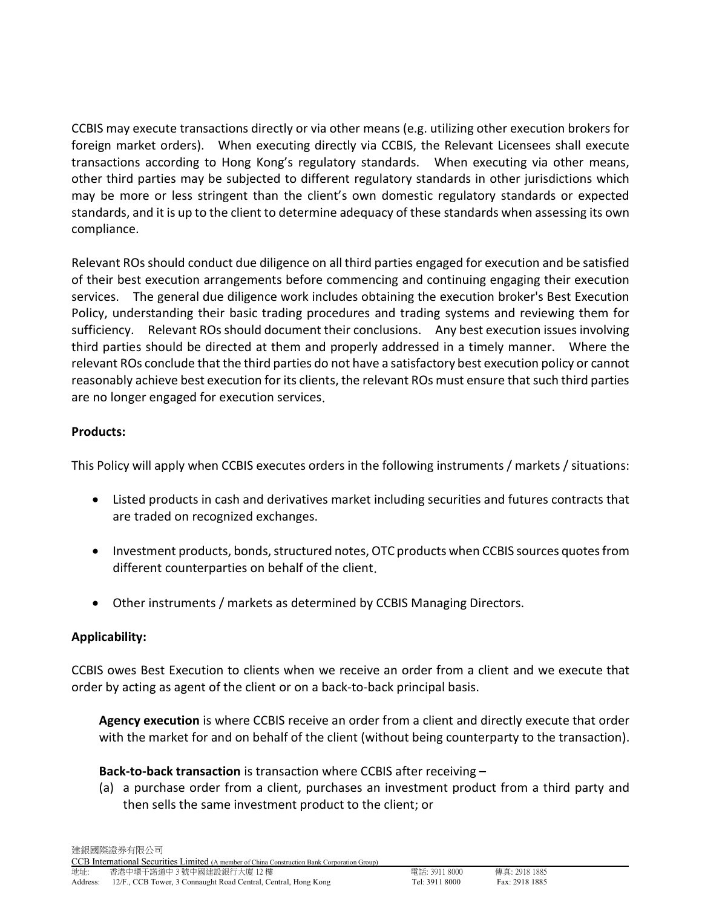CCBIS may execute transactions directly or via other means (e.g. utilizing other execution brokers for foreign market orders). When executing directly via CCBIS, the Relevant Licensees shall execute transactions according to Hong Kong's regulatory standards. When executing via other means, other third parties may be subjected to different regulatory standards in other jurisdictions which may be more or less stringent than the client's own domestic regulatory standards or expected standards, and it is up to the client to determine adequacy of these standards when assessing its own compliance.

Relevant ROs should conduct due diligence on all third parties engaged for execution and be satisfied of their best execution arrangements before commencing and continuing engaging their execution services. The general due diligence work includes obtaining the execution broker's Best Execution Policy, understanding their basic trading procedures and trading systems and reviewing them for sufficiency. Relevant ROs should document their conclusions. Any best execution issues involving third parties should be directed at them and properly addressed in a timely manner. Where the relevant ROs conclude that the third parties do not have a satisfactory best execution policy or cannot reasonably achieve best execution for its clients, the relevant ROs must ensure that such third parties are no longer engaged for execution services.

## Products:

This Policy will apply when CCBIS executes orders in the following instruments / markets / situations:

- Listed products in cash and derivatives market including securities and futures contracts that are traded on recognized exchanges.
- Investment products, bonds, structured notes, OTC products when CCBIS sources quotes from different counterparties on behalf of the client.
- Other instruments / markets as determined by CCBIS Managing Directors.

## Applicability:

CCBIS owes Best Execution to clients when we receive an order from a client and we execute that order by acting as agent of the client or on a back-to-back principal basis.

Agency execution is where CCBIS receive an order from a client and directly execute that order with the market for and on behalf of the client (without being counterparty to the transaction).

## Back-to-back transaction is transaction where CCBIS after receiving –

(a) a purchase order from a client, purchases an investment product from a third party and then sells the same investment product to the client; or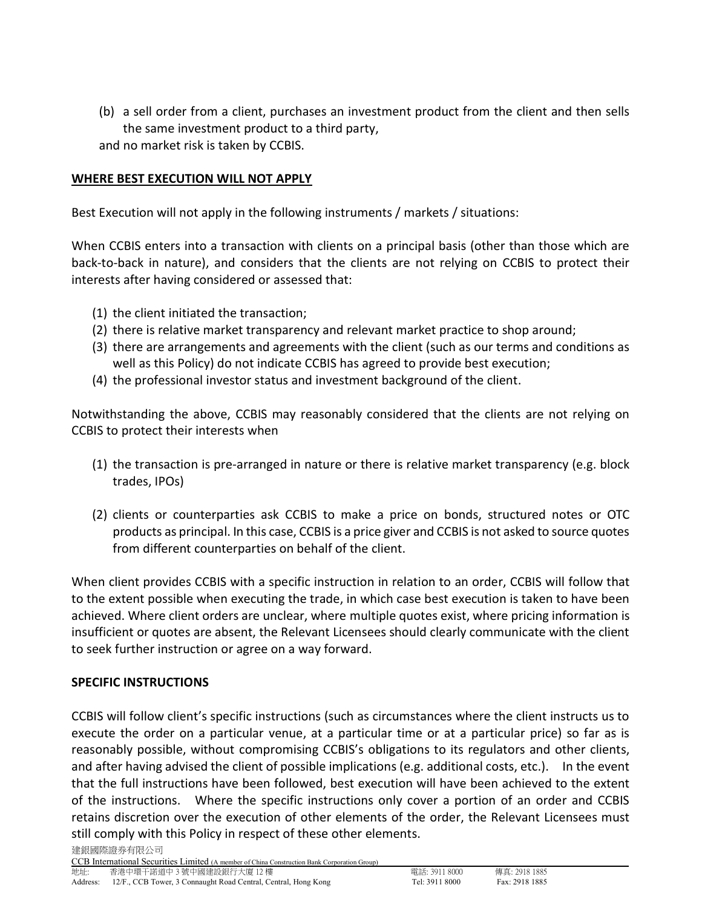(b) a sell order from a client, purchases an investment product from the client and then sells the same investment product to a third party, and no market risk is taken by CCBIS.

## WHERE BEST EXECUTION WILL NOT APPLY

Best Execution will not apply in the following instruments / markets / situations:

When CCBIS enters into a transaction with clients on a principal basis (other than those which are back-to-back in nature), and considers that the clients are not relying on CCBIS to protect their interests after having considered or assessed that:

- (1) the client initiated the transaction;
- (2) there is relative market transparency and relevant market practice to shop around;
- (3) there are arrangements and agreements with the client (such as our terms and conditions as well as this Policy) do not indicate CCBIS has agreed to provide best execution;
- (4) the professional investor status and investment background of the client.

Notwithstanding the above, CCBIS may reasonably considered that the clients are not relying on CCBIS to protect their interests when

- (1) the transaction is pre-arranged in nature or there is relative market transparency (e.g. block trades, IPOs)
- (2) clients or counterparties ask CCBIS to make a price on bonds, structured notes or OTC products as principal. In this case, CCBIS is a price giver and CCBIS is not asked to source quotes from different counterparties on behalf of the client.

When client provides CCBIS with a specific instruction in relation to an order, CCBIS will follow that to the extent possible when executing the trade, in which case best execution is taken to have been achieved. Where client orders are unclear, where multiple quotes exist, where pricing information is insufficient or quotes are absent, the Relevant Licensees should clearly communicate with the client to seek further instruction or agree on a way forward.

#### SPECIFIC INSTRUCTIONS

CCBIS will follow client's specific instructions (such as circumstances where the client instructs us to execute the order on a particular venue, at a particular time or at a particular price) so far as is reasonably possible, without compromising CCBIS's obligations to its regulators and other clients, and after having advised the client of possible implications (e.g. additional costs, etc.). In the event that the full instructions have been followed, best execution will have been achieved to the extent of the instructions. Where the specific instructions only cover a portion of an order and CCBIS retains discretion over the execution of other elements of the order, the Relevant Licensees must still comply with this Policy in respect of these other elements.

建銀國際證券有限公司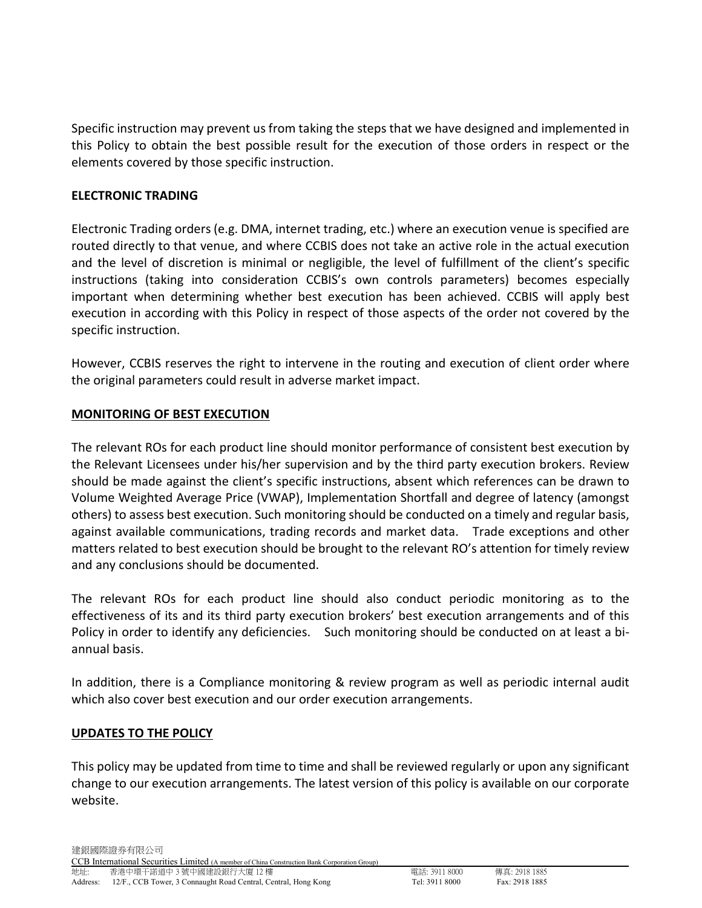Specific instruction may prevent us from taking the steps that we have designed and implemented in this Policy to obtain the best possible result for the execution of those orders in respect or the elements covered by those specific instruction.

### ELECTRONIC TRADING

Electronic Trading orders (e.g. DMA, internet trading, etc.) where an execution venue is specified are routed directly to that venue, and where CCBIS does not take an active role in the actual execution and the level of discretion is minimal or negligible, the level of fulfillment of the client's specific instructions (taking into consideration CCBIS's own controls parameters) becomes especially important when determining whether best execution has been achieved. CCBIS will apply best execution in according with this Policy in respect of those aspects of the order not covered by the specific instruction.

However, CCBIS reserves the right to intervene in the routing and execution of client order where the original parameters could result in adverse market impact.

## MONITORING OF BEST EXECUTION

The relevant ROs for each product line should monitor performance of consistent best execution by the Relevant Licensees under his/her supervision and by the third party execution brokers. Review should be made against the client's specific instructions, absent which references can be drawn to Volume Weighted Average Price (VWAP), Implementation Shortfall and degree of latency (amongst others) to assess best execution. Such monitoring should be conducted on a timely and regular basis, against available communications, trading records and market data. Trade exceptions and other matters related to best execution should be brought to the relevant RO's attention for timely review and any conclusions should be documented.

The relevant ROs for each product line should also conduct periodic monitoring as to the effectiveness of its and its third party execution brokers' best execution arrangements and of this Policy in order to identify any deficiencies. Such monitoring should be conducted on at least a biannual basis.

In addition, there is a Compliance monitoring & review program as well as periodic internal audit which also cover best execution and our order execution arrangements.

#### UPDATES TO THE POLICY

This policy may be updated from time to time and shall be reviewed regularly or upon any significant change to our execution arrangements. The latest version of this policy is available on our corporate website.